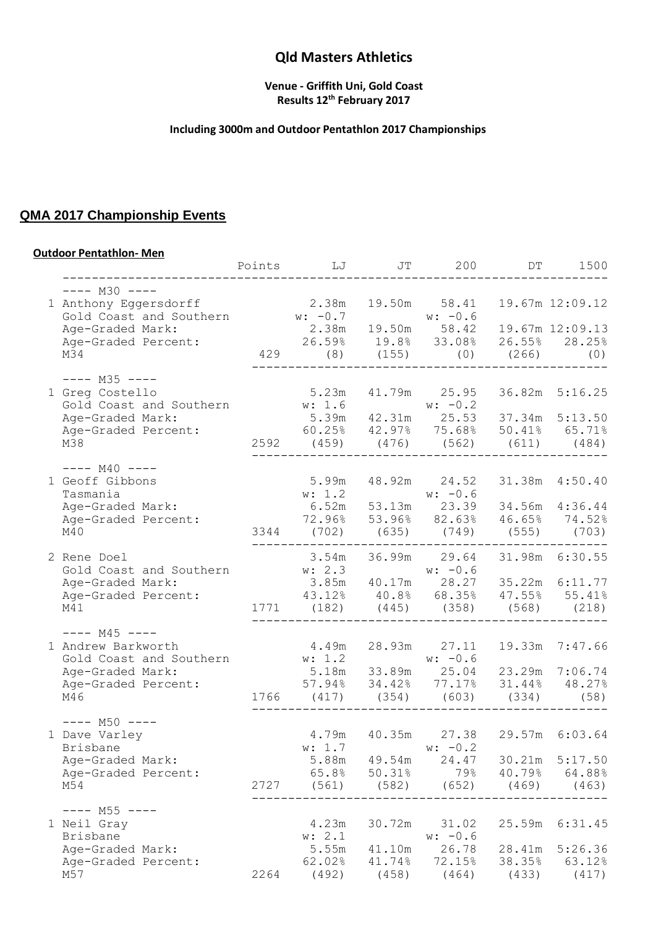### **Venue - Griffith Uni, Gold Coast Results 12th February 2017**

## **Including 3000m and Outdoor Pentathlon 2017 Championships**

# **QMA 2017 Championship Events**

#### **Outdoor Pentathlon- Men**

|                                                                                                                                         | Points | LJ                                                                               | JT     | 200                               | DT     | 1500            |
|-----------------------------------------------------------------------------------------------------------------------------------------|--------|----------------------------------------------------------------------------------|--------|-----------------------------------|--------|-----------------|
| $---$ M30 $---$                                                                                                                         |        |                                                                                  |        |                                   |        |                 |
| 1 Anthony Eqgersdorff<br>Gold Coast and Southern w: -0.7 w: -0.6<br>Age-Graded Mark: 2.38m 19.50m 58.42 19.67m 12:09.13                 |        | 2.38m                                                                            |        | 19.50m 58.41                      |        | 19.67m 12:09.12 |
|                                                                                                                                         |        |                                                                                  |        |                                   |        |                 |
| Age-Graded Percent:                                                                                                                     |        | 26.59% 19.8% 33.08% 26.55% 28.25%                                                |        |                                   |        |                 |
| M34                                                                                                                                     |        | 429                                                                              |        | $(8)$ $(155)$ $(0)$ $(266)$ $(0)$ |        |                 |
| $---$ M35 $---$                                                                                                                         |        |                                                                                  |        |                                   |        |                 |
| 1 Greg Costello                                                                                                                         |        |                                                                                  |        | 5.23m 41.79m 25.95                |        | 36.82m 5:16.25  |
| Gold Coast and Southern<br>Age-Graded Mark: 5.39m 42.31m 25.53 37.34m 5:13.50<br>Age-Graded Percent: 60.25% 42.97% 75.68% 50.41% 65.71% |        |                                                                                  |        |                                   |        |                 |
| Age-Graded Mark:<br>Age-Graded Percent:                                                                                                 |        |                                                                                  |        |                                   |        |                 |
| M38                                                                                                                                     |        | 2592 (459) (476) (562) (611) (484)                                               |        |                                   |        |                 |
|                                                                                                                                         |        |                                                                                  |        |                                   |        |                 |
| $---$ M40 $---$<br>1 Geoff Gibbons                                                                                                      |        | 5.99m                                                                            |        | 48.92m 24.52                      |        | 31.38m  4:50.40 |
| Tasmania                                                                                                                                |        |                                                                                  |        |                                   |        |                 |
| Age-Graded Mark:                                                                                                                        |        | w: 1.2<br>6.52m 53.13m 23.39 34.56m 4:36.44                                      |        |                                   |        |                 |
| Age-Graded Percent:                                                                                                                     |        | 72.96% 53.96% 82.63% 46.65% 74.52%                                               |        |                                   |        |                 |
| M40                                                                                                                                     |        | 3344 (702) (635) (749) (555) (703)                                               |        |                                   |        |                 |
| 2 Rene Doel                                                                                                                             |        |                                                                                  |        |                                   |        |                 |
| Gold Coast and Southern                                                                                                                 |        | 3.54m 36.99m 29.64 31.98m 6:30.55<br>w: 2.3<br>3.85m 40.17m 28.27 35.22m 6:11.77 |        |                                   |        |                 |
| Age-Graded Mark:                                                                                                                        |        |                                                                                  |        |                                   |        |                 |
| Age-Graded Percent:                                                                                                                     |        | 43.12% 40.8% 68.35% 47.55% 55.41%                                                |        |                                   |        |                 |
| M41                                                                                                                                     |        | 1771 (182) (445) (358) (568) (218)                                               |        |                                   |        |                 |
| $--- M45 ---$                                                                                                                           |        |                                                                                  |        |                                   |        |                 |
| 1 Andrew Barkworth                                                                                                                      |        | 4.49m                                                                            |        | 28.93m 27.11                      | 19.33m | 7:47.66         |
| Gold Coast and Southern $w: 1.2$<br>Age-Graded Mark: 5.18m 33.89m 25.04 23.29m 7:06.74                                                  |        |                                                                                  |        |                                   |        |                 |
|                                                                                                                                         |        |                                                                                  |        |                                   |        |                 |
| Age-Graded Percent:                                                                                                                     |        | $57.94\%$ $34.42\%$ $77.17\%$ $31.44\%$ $48.27\%$                                |        |                                   |        |                 |
| M4 6                                                                                                                                    |        | 1766 (417) (354) (603)                                                           |        |                                   |        | $(334)$ (58)    |
| $--- M50 ---$                                                                                                                           |        |                                                                                  |        |                                   |        |                 |
| 1 Dave Varley<br>Brisbane                                                                                                               |        | 4.79m  40.35m  27.38  29.57m  6:03.64<br>w: 1.7                                  |        | $w: -0.2$                         |        |                 |
| Age-Graded Mark:                                                                                                                        |        | 5.88m                                                                            | 49.54m | 24.47                             | 30.21m | 5:17.50         |
| Age-Graded Percent:                                                                                                                     |        | 65.8%                                                                            | 50.31% | 79%                               | 40.79% | 64.88%          |
| M54                                                                                                                                     | 2727   | (561)                                                                            | (582)  | (652)                             | (469)  | (463)           |
| $--- M55 ---$                                                                                                                           |        |                                                                                  |        |                                   |        |                 |
| 1 Neil Gray                                                                                                                             |        | 4.23m                                                                            | 30.72m | 31.02                             | 25.59m | 6:31.45         |
| Brisbane                                                                                                                                |        | w: 2.1                                                                           |        | $w: -0.6$                         |        |                 |
| Age-Graded Mark:                                                                                                                        |        | 5.55m                                                                            | 41.10m | 26.78                             | 28.41m | 5:26.36         |
| Age-Graded Percent:                                                                                                                     |        | 62.02%                                                                           | 41.74% | 72.15%                            | 38.35% | 63.12%          |
| M57                                                                                                                                     | 2264   | (492)                                                                            | (458)  | (464)                             | (433)  | (417)           |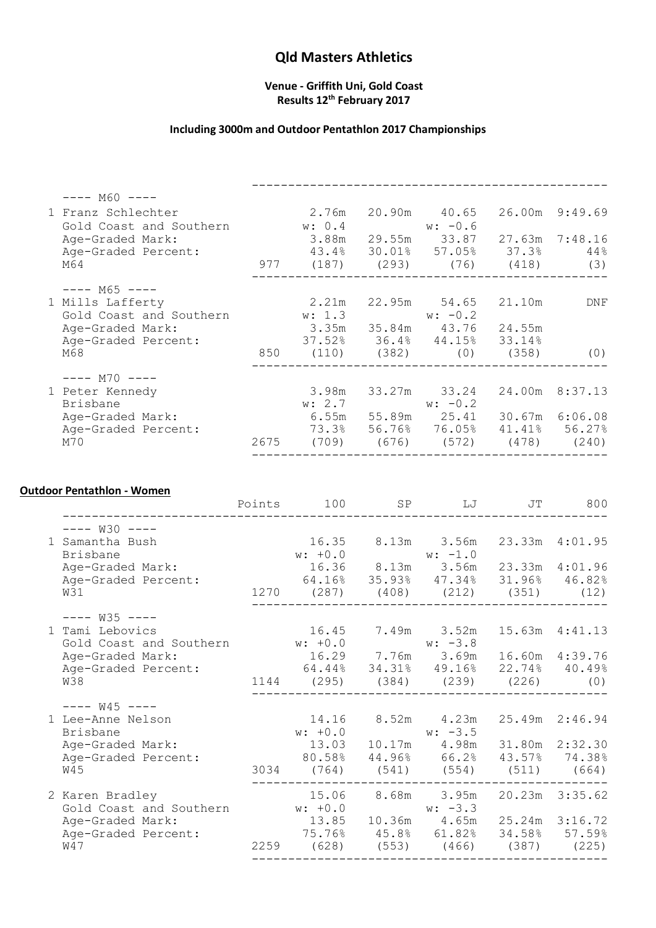#### **Venue - Griffith Uni, Gold Coast Results 12th February 2017**

## **Including 3000m and Outdoor Pentathlon 2017 Championships**

| $---$ M60 $---$                               |      |                                        |                                         |        |                |
|-----------------------------------------------|------|----------------------------------------|-----------------------------------------|--------|----------------|
| 1 Franz Schlechter<br>Gold Coast and Southern |      | w: 0.4                                 | $w: -0.6$                               |        | 26.00m 9:49.69 |
| Age-Graded Mark:                              |      |                                        | 3.88m 29.55m 33.87 27.63m 7:48.16       |        |                |
| Age-Graded Percent:                           |      |                                        | 43.4% 30.01% 57.05% 37.3%               |        | 44%            |
| M64                                           |      | 977 (187) (293) (76) (418)             |                                         |        | (3)            |
| $--- M65 ---$                                 |      |                                        |                                         |        |                |
| 1 Mills Lafferty                              |      |                                        | 2.21m 22.95m 54.65                      | 21.10m | DNF            |
| Gold Coast and Southern                       |      | $w: 1.3$ $w: -0.2$                     |                                         |        |                |
| Age-Graded Mark:                              |      | 3.35m 35.84m 43.76 24.55m              |                                         |        |                |
| Age-Graded Percent:                           |      | $37.52\%$ $36.4\%$ $44.15\%$ $33.14\%$ |                                         |        |                |
| M68                                           |      | 850 (110) (382) (0) (358)              |                                         |        | (0)            |
| $---$ M70 $---$                               |      |                                        |                                         |        |                |
| 1 Peter Kennedy                               |      |                                        | 3.98m 33.27m 33.24                      |        | 24.00m 8:37.13 |
| Brisbane                                      |      | w: 2.7                                 | $w: -0.2$                               |        |                |
| Age-Graded Mark:                              |      |                                        | 6.55m 55.89m 25.41 30.67m 6:06.08       |        |                |
| Age-Graded Percent:                           |      |                                        | 73.3% 56.76% 76.05% 41.41% 56.27%       |        |                |
| M70                                           | 2675 |                                        | $(709)$ $(676)$ $(572)$ $(478)$ $(240)$ |        |                |
|                                               |      |                                        |                                         |        |                |

### **Outdoor Pentathlon - Women**

|                                                                                                                                   | Points 100                                                                                                                                         | SP LJ JT  | 800                                       |
|-----------------------------------------------------------------------------------------------------------------------------------|----------------------------------------------------------------------------------------------------------------------------------------------------|-----------|-------------------------------------------|
| $-- W30$ $---$<br>1 Samantha Bush<br>Brisbane<br>Age-Graded Mark:<br>Age-Graded Percent:<br>W31                                   | $16.35$ $8.13m$ $3.56m$<br>w: +0.0<br>16.36 8.13m 3.56m 23.33m 4:01.96<br>64.16% 35.93% 47.34% 31.96% 46.82%<br>1270 (287) (408) (212) (351) (12)  |           | 23.33m 4:01.95                            |
| $--- W35 ---$<br>1 Tami Lebovics<br>Gold Coast and Southern $w: +0.0$ $w: -3.8$<br>Age-Graded Mark:<br>Age-Graded Percent:<br>W38 | 16.45 7.49m 3.52m<br>16.29 7.76m 3.69m<br>64.44% 34.31% 49.16% 22.74% 40.49%<br>1144 (295) (384) (239) (226)                                       |           | 15.63m  4:41.13<br>16.60m  4:39.76<br>(0) |
| $--- W45 ---$<br>1 Lee-Anne Nelson<br>Brisbane<br>Age-Graded Mark:<br>Age-Graded Percent:<br>W45                                  | 14.16 8.52m 4.23m<br>$w: +0.0$<br>13.03  10.17m  4.98m  31.80m  2:32.30<br>80.58% 44.96% 66.2% 43.57% 74.38%<br>3034 (764) (541) (554) (511) (664) | $w: -3.5$ |                                           |
| 2 Karen Bradley<br>Gold Coast and Southern W: +0.0 W: -3.3<br>Age-Graded Mark:<br>Age-Graded Percent:<br>W47                      | 15.06 8.68m 3.95m<br>13.85 10.36m 4.65m<br>75.76% 45.8% 61.82% 34.58% 57.59%<br>2259 (628) (553) (466) (387) (225)                                 |           | 20.23m 3:35.62<br>25.24m 3:16.72          |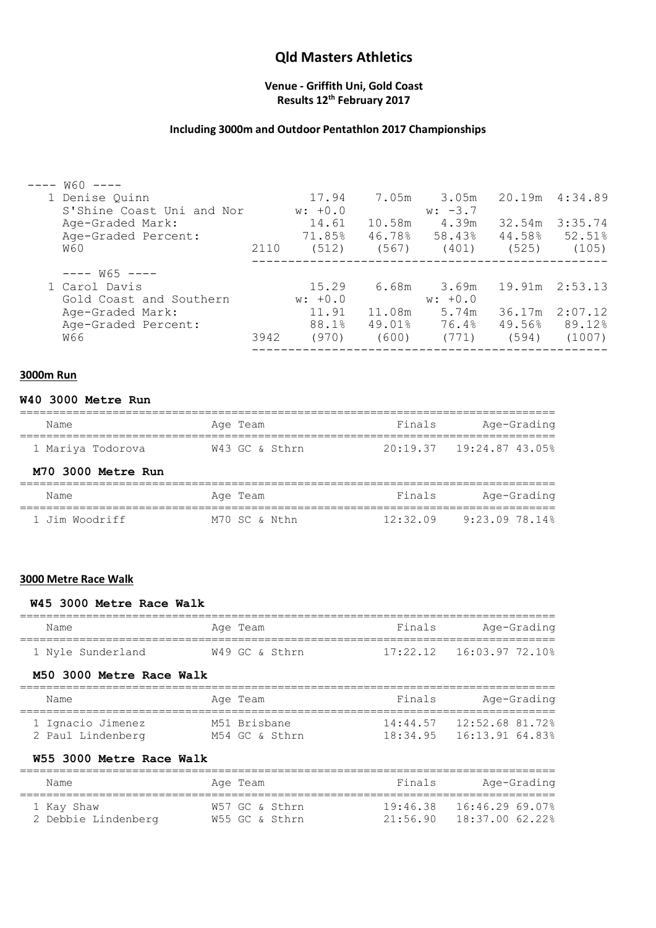#### **Venue - Griffith Uni, Gold Coast Results 12th February 2017**

## **Including 3000m and Outdoor Pentathlon 2017 Championships**

| $W60$ ----                |      |           |        |           |        |                 |
|---------------------------|------|-----------|--------|-----------|--------|-----------------|
| 1 Denise Quinn            |      | 17.94     | 7.05m  | 3.05m     |        | 20.19m  4:34.89 |
| S'Shine Coast Uni and Nor |      | $w: +0.0$ |        | $w: -3.7$ |        |                 |
| Age-Graded Mark:          |      | 14.61     | 10.58m | 4.39m     | 32.54m | 3:35.74         |
| Age-Graded Percent:       |      | 71.85%    | 46.78% | 58.43%    | 44.58% | 52.51%          |
| W60                       | 2110 | (512)     | (567)  | (401)     | (525)  | (105)           |
| $--- W65 ---$             |      |           |        |           |        |                 |
| 1 Carol Davis             |      | 15.29     | 6.68m  | 3.69m     |        | 19.91m 2:53.13  |
| Gold Coast and Southern   |      | $w: +0.0$ |        | $w: +0.0$ |        |                 |
| Age-Graded Mark:          |      | 11.91     | 11.08m | 5.74m     | 36.17m | 2:07.12         |
| Age-Graded Percent:       |      | 88.1%     | 49.01% | 76.4%     |        | 49.56% 89.12%   |
| พ66                       | 3942 | (970)     | (600)  | (771)     | (594)  | (1007)          |
|                           |      |           |        |           |        |                 |

#### **3000m Run**

#### **W40 3000 Metre Run**

| Name               | Age Team       | Finals   | Age-Grading                    |
|--------------------|----------------|----------|--------------------------------|
| 1 Mariya Todorova  | W43 GC & Sthrn |          | 20:19.37    19:24.87    43.05% |
| M70 3000 Metre Run |                |          |                                |
| Name               | Age Team       | Finals   | Age-Grading                    |
| 1 Jim Woodriff     | M70 SC & Nthn  | 12:32.09 | 9:23.09.78.14%                 |

#### **3000 Metre Race Walk**

#### **W45 3000 Metre Race Walk**

| Name                                             | Age Team                       | Finals | Age-Grading                                                    |
|--------------------------------------------------|--------------------------------|--------|----------------------------------------------------------------|
| 1 Nyle Sunderland                                | W49 GC & Sthrn                 |        | $17:22.12$ $16:03.97$ 72.10%                                   |
| M50 3000 Metre Race Walk                         |                                |        |                                                                |
| Name                                             | Aqe Team                       | Finals | Age-Grading                                                    |
| 1 Ignacio Jimenez<br>2 Paul Lindenberg           | M51 Brisbane<br>M54 GC & Sthrn |        | 14:44.57    12:52.68    81.72%<br>18:34.95  16:13.91  64.83%   |
| W55 3000 Metre Race Walk                         |                                |        |                                                                |
| Name                                             | Age Team                       | Finals | Age-Grading                                                    |
| 1 Kay Shaw<br>2 Debbie Lindenberg M55 GC & Sthrn | W57 GC & Sthrn                 |        | $19:46.38$ $16:46.29$ 69.07%<br>$21:56.90$ $18:37.00$ $62.22%$ |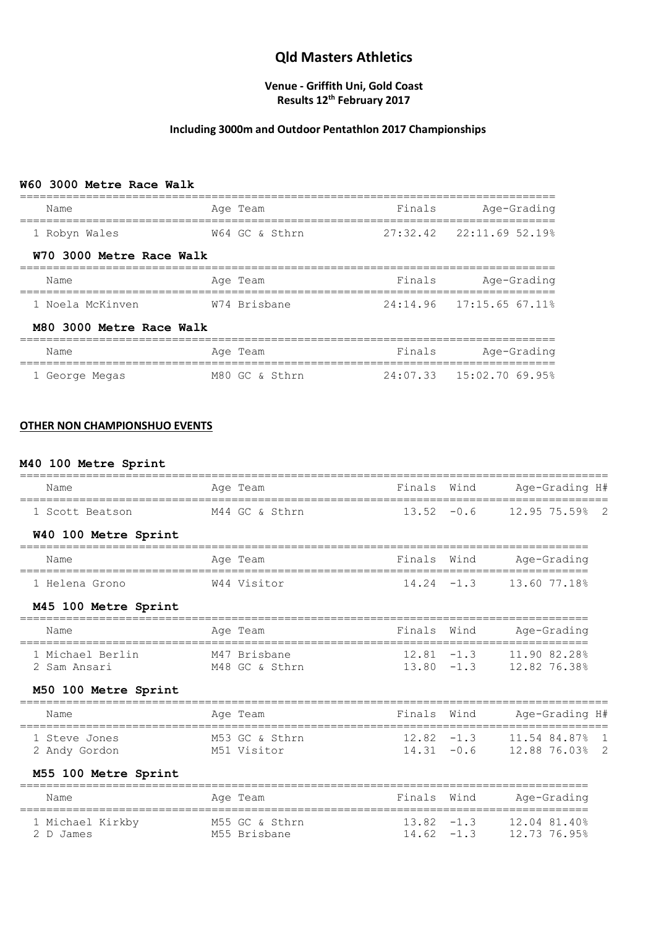### **Venue - Griffith Uni, Gold Coast Results 12th February 2017**

### **Including 3000m and Outdoor Pentathlon 2017 Championships**

#### **W60 3000 Metre Race Walk**

| Name                     | Age Team       | Finals | Age-Grading                  |
|--------------------------|----------------|--------|------------------------------|
| 1 Robyn Wales            | W64 GC & Sthrn |        | $27:32.42$ $22:11.69$ 52.19% |
| W70 3000 Metre Race Walk |                |        |                              |
| Name                     | Age Team       | Finals | Age-Grading                  |
| 1 Noela McKinyen         | W74 Brisbane   |        | $24:14.96$ $17:15.65$ 67.11% |
| M80 3000 Metre Race Walk |                |        |                              |
| Name                     | Age Team       | Finals | Age-Grading                  |
| 1 George Megas           | M80 GC & Sthrn |        | $24:07.33$ $15:02.70.69.95%$ |

#### **OTHER NON CHAMPIONSHUO EVENTS**

#### **M40 100 Metre Sprint**

| Name                             | Age Team<br>----------         | Finals Wind   |               | Age-Grading H#<br>===================              |
|----------------------------------|--------------------------------|---------------|---------------|----------------------------------------------------|
| 1 Scott Beatson                  | M44 GC & Sthrn                 | $13.52 -0.6$  |               | 12.95 75.59% 2                                     |
| W40 100 Metre Sprint             |                                |               |               |                                                    |
| Name                             | Age Team                       | Finals Wind   |               | Age-Grading                                        |
| 1 Helena Grono                   | W44 Visitor                    | $14.24 - 1.3$ |               | 13.60 77.18%                                       |
| M45 100 Metre Sprint             |                                |               |               |                                                    |
| Name                             | Age Team                       | Finals        | Wind          | Age-Grading                                        |
| 1 Michael Berlin<br>2 Sam Ansari | M47 Brisbane<br>M48 GC & Sthrn | $12.81 - 1.3$ | $13.80 - 1.3$ | 11.90 82.28%<br>12.82 76.38%                       |
| M50 100 Metre Sprint             |                                |               |               |                                                    |
|                                  |                                |               |               |                                                    |
| Name                             | Age Team<br>===========        | Finals        | Wind          | Age-Grading H#<br>________________________________ |
| 1 Steve Jones                    | M53 GC & Sthrn                 | $12.82 - 1.3$ |               | 11.54 84.87%<br>$\overline{1}$                     |
| 2 Andy Gordon                    | M51 Visitor                    | $14.31 - 0.6$ |               | 12.88 76.03%<br>$\overline{2}$                     |
| M55 100 Metre Sprint             |                                |               |               |                                                    |
| Name                             | Age Team                       | Finals        | Wind          | Age-Grading<br>====================                |
| 1 Michael Kirkby                 | M55 GC & Sthrn                 | $13.82 - 1.3$ |               | 12.04 81.40%                                       |
| 2 D James                        | M55 Brisbane                   | $14.62 - 1.3$ |               | 12.73 76.95%                                       |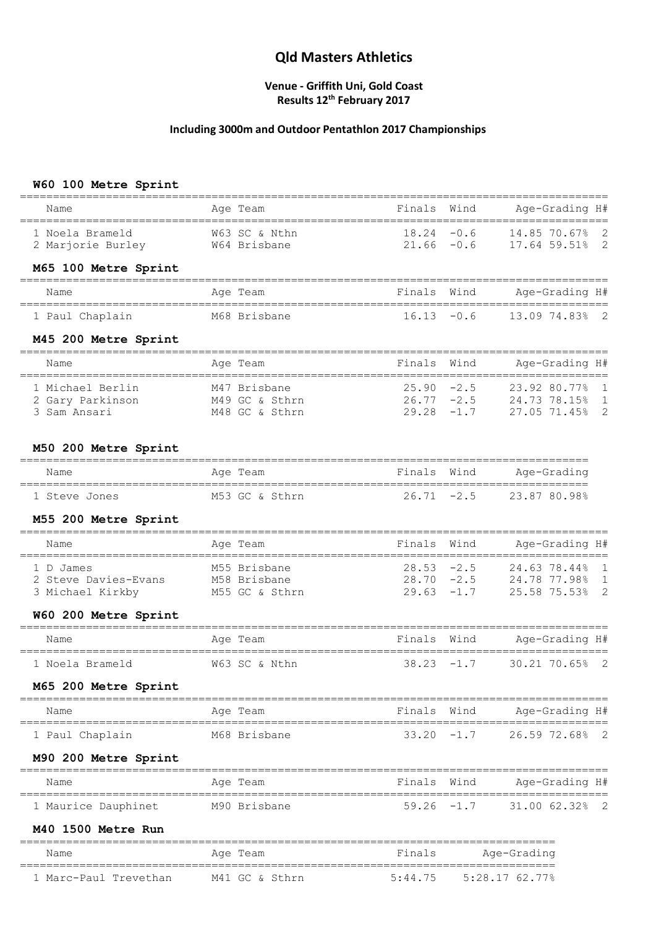#### **Venue - Griffith Uni, Gold Coast Results 12th February 2017**

## **Including 3000m and Outdoor Pentathlon 2017 Championships**

### **W60 100 Metre Sprint**

|                                                                     |                                    |                                |               | _____________________                                                              |
|---------------------------------------------------------------------|------------------------------------|--------------------------------|---------------|------------------------------------------------------------------------------------|
| Name                                                                | Age Team                           | Finals Wind                    |               | Age-Grading H#                                                                     |
| 1 Noela Brameld<br>2 Marjorie Burley 64 Brisbane                    | W63 SC & Nthn                      | $18.24 - 0.6$<br>$21.66 - 0.6$ |               | 14.85 70.67% 2<br>17.64 59.51% 2                                                   |
| M65 100 Metre Sprint                                                |                                    |                                |               |                                                                                    |
| Name                                                                | Age Team                           |                                | Finals Wind   | Age-Grading H#                                                                     |
| 1 Paul Chaplain                                                     | M68 Brisbane                       |                                |               | $16.13 -0.6$ $13.0974.83$ $2$                                                      |
| M45 200 Metre Sprint                                                |                                    |                                |               |                                                                                    |
| Name                                                                | Age Team                           | Finals                         | Wind          | Age-Grading H#                                                                     |
| 1 Michael Berlin<br>2 Gary Parkinson M49 GC & Sthrn<br>3 Sam Ansari | M47 Brisbane<br>M48 GC & Sthrn     | $25.90 -2.5$<br>$29.28 - 1.7$  |               | 23.92 80.77% 1<br>$26.77 - 2.5$ 24.73 78.15% 1<br>27.05 71.45% 2                   |
| M50 200 Metre Sprint                                                |                                    |                                |               |                                                                                    |
| Name                                                                | Age Team                           | Finals Wind                    |               | Age-Grading                                                                        |
| 1 Steve Jones                                                       | M53 GC & Sthrn                     |                                |               | ================<br>$26.71 -2.5$ 23.87 80.98%                                      |
| M55 200 Metre Sprint                                                |                                    |                                |               |                                                                                    |
| Name                                                                | Age Team                           | Finals                         | Wind          | Age-Grading H#                                                                     |
| 1 D James<br>2 Steve Davies-Evans M58 Brisbane<br>3 Michael Kirkby  | M55 Brisbane<br>M55 GC & Sthrn     | $29.63 -1.7$                   |               | 28.53 -2.5     24.63 78.44%  1<br>28.70 -2.5     24.78 77.98%  1<br>25.58 75.53% 2 |
| W60 200 Metre Sprint                                                |                                    |                                |               |                                                                                    |
| Name                                                                | Age Team                           |                                | Finals Wind   | Age-Grading H#                                                                     |
| 1 Noela Brameld                                                     | W63 SC & Nthn                      |                                | $38.23 - 1.7$ | 30.21 70.65% 2                                                                     |
| M65 200 Metre Sprint                                                |                                    |                                |               |                                                                                    |
| Name                                                                | Age Team                           | Finals                         | Wind          | Age-Grading H#<br>======================                                           |
| 1 Paul Chaplain                                                     | M68 Brisbane                       | $33.20 -1.7$                   |               | 26.59 72.68%<br>- 2                                                                |
| M90 200 Metre Sprint                                                |                                    |                                |               | =======================                                                            |
| Name<br>------------                                                | Aqe Team<br>====================== | Finals<br>=================    | Wind          | Age-Grading H#<br>=====================                                            |
| 1 Maurice Dauphinet                                                 | M90 Brisbane                       | $59.26 -1.7$                   |               | 31.00 62.32%<br>$\overline{\phantom{0}}^2$                                         |
| M40 1500 Metre Run                                                  |                                    |                                |               |                                                                                    |
| Name                                                                | Age Team                           | Finals                         |               | Age-Grading                                                                        |
| 1 Marc-Paul Trevethan                                               | M41 GC & Sthrn                     | 5:44.75                        |               | $5:28.17$ 62.77%                                                                   |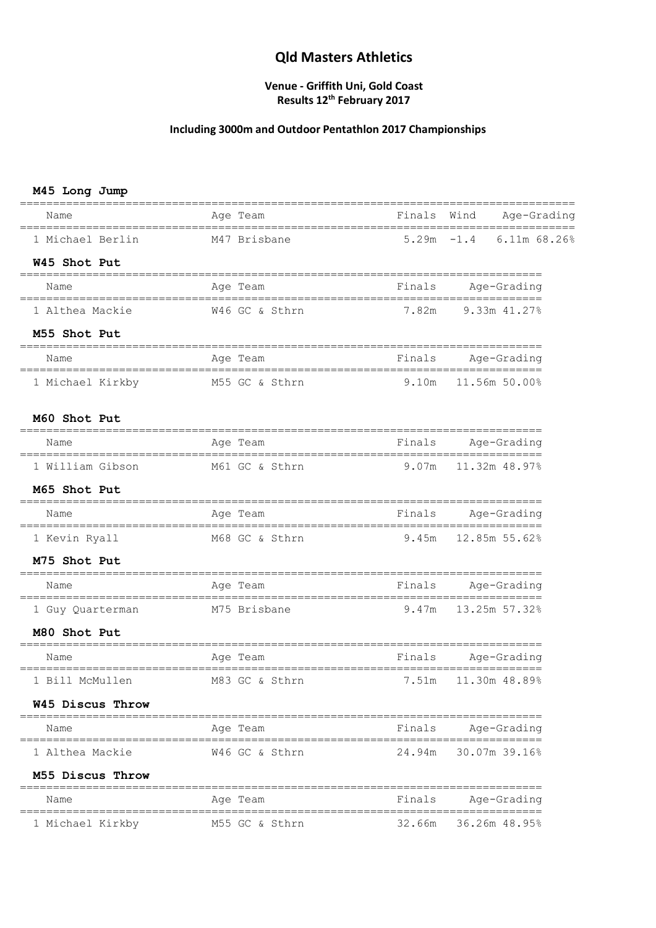#### **Venue - Griffith Uni, Gold Coast Results 12th February 2017**

## **Including 3000m and Outdoor Pentathlon 2017 Championships**

#### **M45 Long Jump**

| Name                          | Age Team                           |        | Finals Wind Age-Grading               |
|-------------------------------|------------------------------------|--------|---------------------------------------|
| 1 Michael Berlin M47 Brisbane |                                    |        | $5.29m - 1.4$ 6.11m 68.26%            |
| W45 Shot Put                  |                                    |        |                                       |
| Name                          | Age Team                           | Finals | Age-Grading                           |
| 1 Althea Mackie               | W46 GC & Sthrn                     | 7.82m  | 9.33m 41.27%                          |
| M55 Shot Put                  |                                    |        | ------------------------------------- |
| Name                          | Age Team                           |        | Finals Age-Grading                    |
| 1 Michael Kirkby              | M55 GC & Sthrn 9.10m 11.56m 50.00% |        |                                       |
| M60 Shot Put                  |                                    |        |                                       |
| Name                          | Age Team                           |        | Finals Age-Grading                    |
|                               | 1 William Gibson M61 GC & Sthrn    |        | 9.07m 11.32m 48.97%                   |
| M65 Shot Put                  |                                    |        |                                       |
| Name                          | Age Team                           |        | Finals Age-Grading                    |
| 1 Kevin Ryall                 | M68 GC & Sthrn                     |        | $9.45m$ $12.85m$ $55.62%$             |
| M75 Shot Put                  |                                    |        |                                       |
| Name                          | Age Team                           |        | Finals Age-Grading                    |
| 1 Guy Quarterman              | M75 Brisbane                       |        | 9.47m 13.25m 57.32%                   |
| M80 Shot Put                  |                                    |        |                                       |
| Name                          | Age Team                           | Finals | Age-Grading                           |
| 1 Bill McMullen               | M83 GC & Sthrn                     | 7.51m  | 11.30m 48.89%                         |
| W45 Discus Throw              |                                    |        |                                       |
| Name                          | Age Team                           | Finals | Age-Grading                           |
| 1 Althea Mackie               | W46 GC & Sthrn                     | 24.94m | 30.07m 39.16%                         |
| M55 Discus Throw              |                                    |        |                                       |
| Name                          | Aqe Team                           | Finals | Age-Grading                           |
| 1 Michael Kirkby              | M55 GC & Sthrn                     | 32.66m | 36.26m 48.95%                         |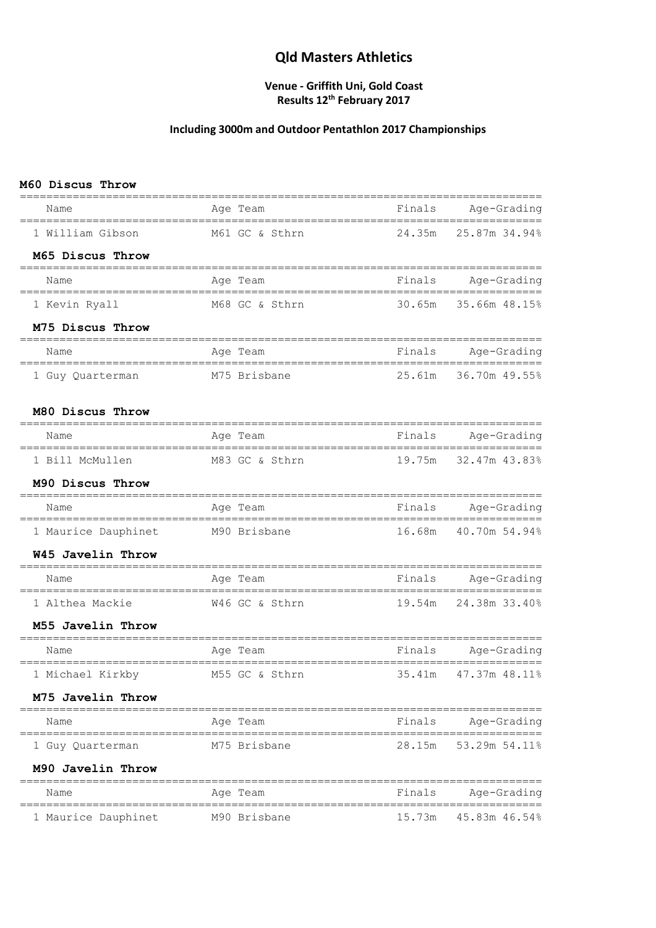#### **Venue - Griffith Uni, Gold Coast Results 12th February 2017**

## **Including 3000m and Outdoor Pentathlon 2017 Championships**

#### **M60 Discus Throw**

| Name                                        | Age Team       | Finals Age-Grading             |
|---------------------------------------------|----------------|--------------------------------|
| 1 William Gibson                            | M61 GC & Sthrn | 24.35m<br>25.87m 34.94%        |
| M65 Discus Throw                            |                |                                |
| Name                                        | Age Team       | Finals<br>Age-Grading          |
| 1 Kevin Ryall                               | M68 GC & Sthrn | 30.65m 35.66m 48.15%           |
| M75 Discus Throw                            |                |                                |
| Name                                        | Age Team       | Finals<br>Age-Grading          |
| 1 Guy Quarterman                            | M75 Brisbane   | 25.61m 36.70m 49.55%           |
| M80 Discus Throw                            |                |                                |
| Name                                        | Age Team       | Finals<br>Age-Grading          |
| 1 Bill McMullen                             | M83 GC & Sthrn | 19.75m 32.47m 43.83%           |
| M90 Discus Throw                            |                |                                |
| Name                                        | Age Team       | Finals<br>Age-Grading          |
| 1 Maurice Dauphinet                         | M90 Brisbane   | 16.68m  40.70m  54.94%         |
| W45 Javelin Throw<br>====================== |                |                                |
| Name                                        | Age Team       | Finals Age-Grading             |
| 1 Althea Mackie                             | W46 GC & Sthrn | 19.54m 24.38m 33.40%           |
| M55 Javelin Throw                           |                |                                |
| Name                                        | Age Team       | Finals<br>Age-Grading          |
| 1 Michael Kirkby M55 GC & Sthrn             |                | 35.41m 47.37m 48.11%           |
| M75 Javelin Throw                           |                |                                |
| Name                                        | Age Team       | ========<br>Finals Age-Grading |
| 1 Guy Quarterman                            | M75 Brisbane   | 28.15m 53.29m 54.11%           |
| M90 Javelin Throw                           |                |                                |
| Name                                        | Age Team       | Finals<br>Age-Grading          |
| 1 Maurice Dauphinet                         | M90 Brisbane   | 45.83m 46.54%<br>15.73m        |